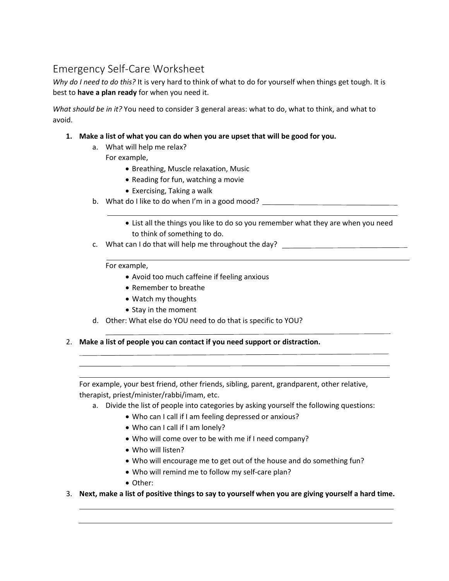# Emergency Self-Care Worksheet

*Why do I need to do this?* It is very hard to think of what to do for yourself when things get tough. It is best to **have a plan ready** for when you need it.

*What should be in it?* You need to consider 3 general areas: what to do, what to think, and what to avoid.

- **1. Make a list of what you can do when you are upset that will be good for you.**
	- a. What will help me relax?

For example,

- Breathing, Muscle relaxation, Music
- Reading for fun, watching a movie
- Exercising, Taking a walk
- b. What do I like to do when I'm in a good mood? \_\_\_\_\_\_\_\_\_\_\_\_\_\_\_\_\_\_\_\_\_\_\_\_\_\_\_\_\_\_\_
	- List all the things you like to do so you remember what they are when you need to think of something to do.
- c. What can I do that will help me throughout the day?

For example,

- Avoid too much caffeine if feeling anxious
- Remember to breathe
- Watch my thoughts
- Stay in the moment
- d. Other: What else do YOU need to do that is specific to YOU?
- 2. **Make a list of people you can contact if you need support or distraction.**

For example, your best friend, other friends, sibling, parent, grandparent, other relative, therapist, priest/minister/rabbi/imam, etc.

- a. Divide the list of people into categories by asking yourself the following questions:
	- Who can I call if I am feeling depressed or anxious?
	- Who can I call if I am lonely?
	- Who will come over to be with me if I need company?
	- Who will listen?
	- Who will encourage me to get out of the house and do something fun?
	- Who will remind me to follow my self-care plan?
	- Other:
- 3. **Next, make a list of positive things to say to yourself when you are giving yourself a hard time.**